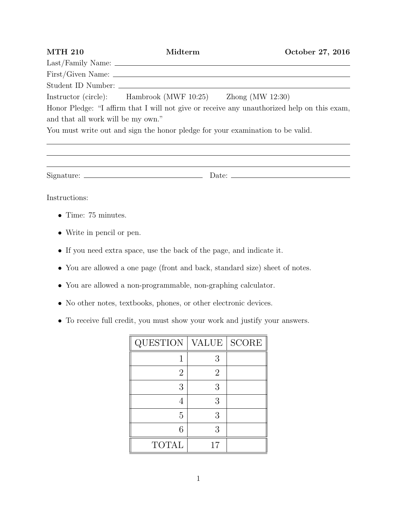| <b>MTH 210</b>                     | Midterm                                                                        | October 27, 2016                                                                            |
|------------------------------------|--------------------------------------------------------------------------------|---------------------------------------------------------------------------------------------|
|                                    |                                                                                |                                                                                             |
|                                    |                                                                                |                                                                                             |
|                                    |                                                                                |                                                                                             |
|                                    | Instructor (circle): Hambrook (MWF 10:25) Zhong (MW 12:30)                     |                                                                                             |
|                                    |                                                                                | Honor Pledge: "I affirm that I will not give or receive any unauthorized help on this exam, |
| and that all work will be my own." |                                                                                |                                                                                             |
|                                    | You must write out and sign the honor pledge for your examination to be valid. |                                                                                             |
|                                    |                                                                                |                                                                                             |
|                                    |                                                                                |                                                                                             |
|                                    |                                                                                |                                                                                             |

Instructions:

- *•* Time: 75 minutes.
- *•* Write in pencil or pen.
- *•* If you need extra space, use the back of the page, and indicate it.
- *•* You are allowed a one page (front and back, standard size) sheet of notes.
- *•* You are allowed a non-programmable, non-graphing calculator.
- No other notes, textbooks, phones, or other electronic devices.
- *•* To receive full credit, you must show your work and justify your answers.

| QUESTION       | <b>VALUE</b> | <b>SCORE</b> |
|----------------|--------------|--------------|
|                | 3            |              |
| $\overline{2}$ | $\dot{2}$    |              |
| 3              | 3            |              |
|                | 3            |              |
| 5              | 3            |              |
| 6              | 3            |              |
| <b>TOTAL</b>   | 17           |              |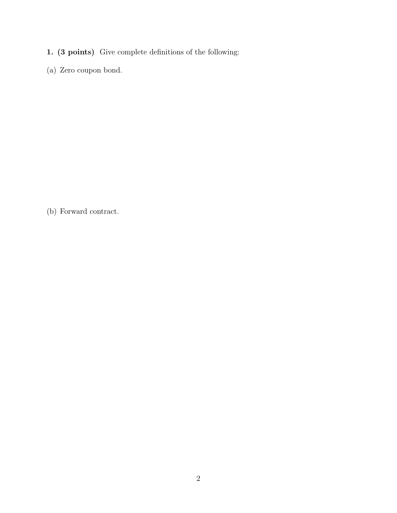- 1. (3 points) Give complete definitions of the following:
- (a) Zero coupon bond.

(b) Forward contract.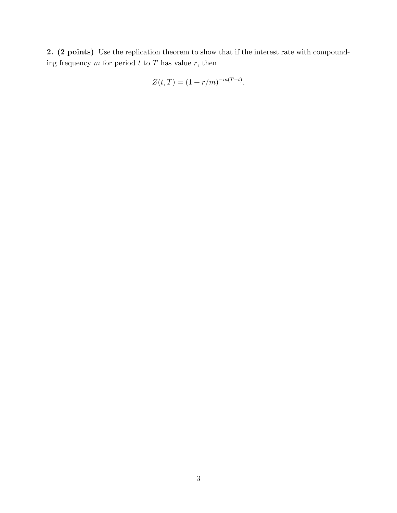2. (2 points) Use the replication theorem to show that if the interest rate with compounding frequency  $m$  for period  $t$  to  $T$  has value  $r$ , then

$$
Z(t,T) = (1 + r/m)^{-m(T-t)}.
$$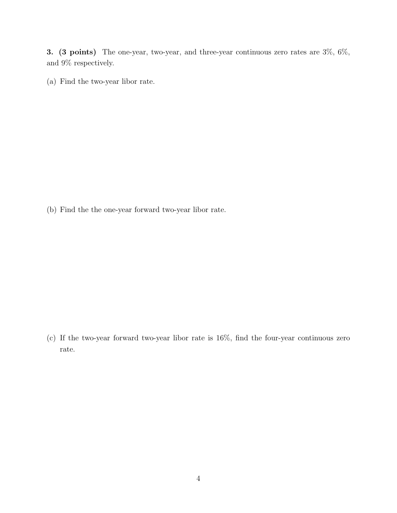3. (3 points) The one-year, two-year, and three-year continuous zero rates are 3%, 6%, and 9% respectively.

(a) Find the two-year libor rate.

(b) Find the the one-year forward two-year libor rate.

(c) If the two-year forward two-year libor rate is 16%, find the four-year continuous zero rate.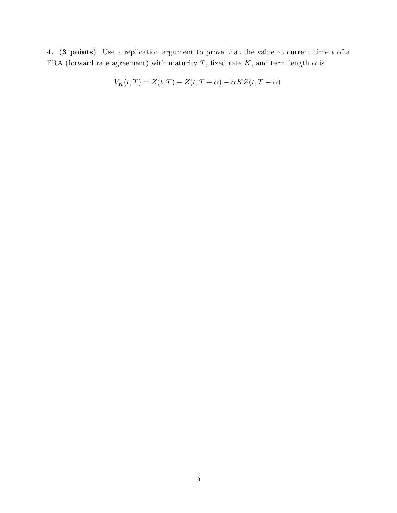4. (3 points) Use a replication argument to prove that the value at current time *t* of a FRA (forward rate agreement) with maturity *T*, fixed rate *K*, and term length  $\alpha$  is

$$
V_K(t,T) = Z(t,T) - Z(t,T+\alpha) - \alpha K Z(t,T+\alpha).
$$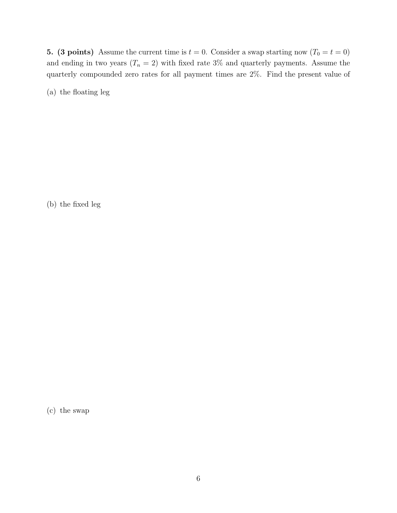5. (3 points) Assume the current time is  $t = 0$ . Consider a swap starting now  $(T_0 = t = 0)$ and ending in two years  $(T_n = 2)$  with fixed rate 3% and quarterly payments. Assume the quarterly compounded zero rates for all payment times are 2%. Find the present value of

(a) the floating leg

(b) the fixed leg

(c) the swap